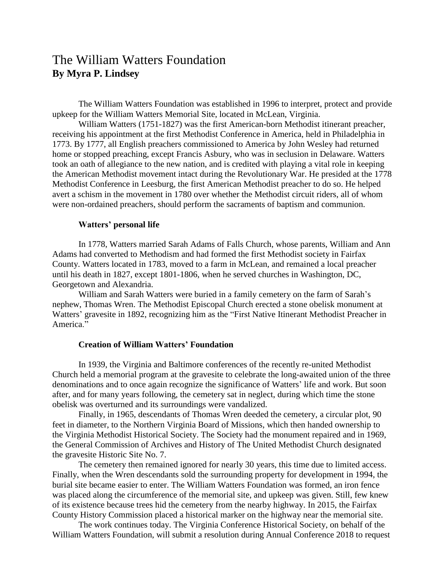## The William Watters Foundation **By Myra P. Lindsey**

The William Watters Foundation was established in 1996 to interpret, protect and provide upkeep for the William Watters Memorial Site, located in McLean, Virginia.

William Watters (1751-1827) was the first American-born Methodist itinerant preacher, receiving his appointment at the first Methodist Conference in America, held in Philadelphia in 1773. By 1777, all English preachers commissioned to America by John Wesley had returned home or stopped preaching, except Francis Asbury, who was in seclusion in Delaware. Watters took an oath of allegiance to the new nation, and is credited with playing a vital role in keeping the American Methodist movement intact during the Revolutionary War. He presided at the 1778 Methodist Conference in Leesburg, the first American Methodist preacher to do so. He helped avert a schism in the movement in 1780 over whether the Methodist circuit riders, all of whom were non-ordained preachers, should perform the sacraments of baptism and communion.

## **Watters' personal life**

In 1778, Watters married Sarah Adams of Falls Church, whose parents, William and Ann Adams had converted to Methodism and had formed the first Methodist society in Fairfax County. Watters located in 1783, moved to a farm in McLean, and remained a local preacher until his death in 1827, except 1801-1806, when he served churches in Washington, DC, Georgetown and Alexandria.

William and Sarah Watters were buried in a family cemetery on the farm of Sarah's nephew, Thomas Wren. The Methodist Episcopal Church erected a stone obelisk monument at Watters' gravesite in 1892, recognizing him as the "First Native Itinerant Methodist Preacher in America<sup>"</sup>

## **Creation of William Watters' Foundation**

In 1939, the Virginia and Baltimore conferences of the recently re-united Methodist Church held a memorial program at the gravesite to celebrate the long-awaited union of the three denominations and to once again recognize the significance of Watters' life and work. But soon after, and for many years following, the cemetery sat in neglect, during which time the stone obelisk was overturned and its surroundings were vandalized.

Finally, in 1965, descendants of Thomas Wren deeded the cemetery, a circular plot, 90 feet in diameter, to the Northern Virginia Board of Missions, which then handed ownership to the Virginia Methodist Historical Society. The Society had the monument repaired and in 1969, the General Commission of Archives and History of The United Methodist Church designated the gravesite Historic Site No. 7.

The cemetery then remained ignored for nearly 30 years, this time due to limited access. Finally, when the Wren descendants sold the surrounding property for development in 1994, the burial site became easier to enter. The William Watters Foundation was formed, an iron fence was placed along the circumference of the memorial site, and upkeep was given. Still, few knew of its existence because trees hid the cemetery from the nearby highway. In 2015, the Fairfax County History Commission placed a historical marker on the highway near the memorial site.

The work continues today. The Virginia Conference Historical Society, on behalf of the William Watters Foundation, will submit a resolution during Annual Conference 2018 to request